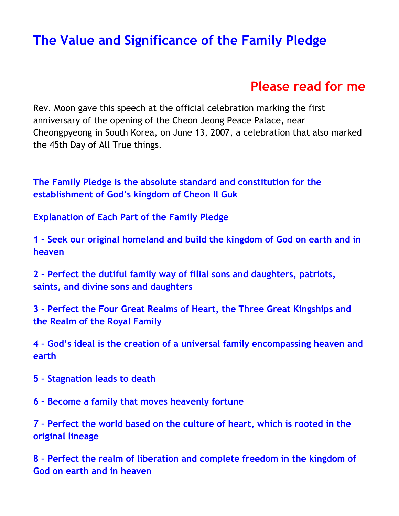# <span id="page-0-0"></span>**[The Value and Significance of the Family Pledge](http://www.2achristisnow.com/resources.html)**

# **[Please read for me](https://www.2achristisnow.com/uploads/1/3/4/0/134087828/phsg14.mp3)**

Rev. Moon gave this speech at the official celebration marking the first anniversary of the opening of the Cheon Jeong Peace Palace, near Cheongpyeong in South Korea, on June 13, 2007, a celebration that also marked the 45th Day of All True things.

**[The Family Pledge is the absolute standard and constitution for the](#page-2-0)  [establishment of God's kingdom of Cheon Il Guk](#page-2-0)**

**[Explanation of Each Part of the Family Pledge](#page-4-0)**

**1 – [Seek our original homeland and build the kingdom of God on earth and in](#page-4-0)  [heaven](#page-4-0)**

**2 – [Perfect the dutiful family way of filial sons and daughters, patriots,](#page-5-0)  [saints, and divine sons and daughters](#page-5-0)**

**3 – [Perfect the Four Great Realms of Heart, the Three Great Kingships and](#page-7-0)  [the Realm of the Royal Family](#page-7-0)**

**4 – [God's ideal is the creation of a universal family encompassing heaven and](#page-7-1)  [earth](#page-7-1)**

**5 – [Stagnation leads to death](#page-9-0)**

**6 – [Become a family that moves heavenly fortune](#page-10-0)**

**7 – [Perfect the world based on the culture of heart, which is rooted in the](#page-11-0)  [original lineage](#page-11-0)**

**8 – [Perfect the realm of liberation and complete freedom in the kingdom of](#page-12-0)  [God on earth and in heaven](#page-12-0)**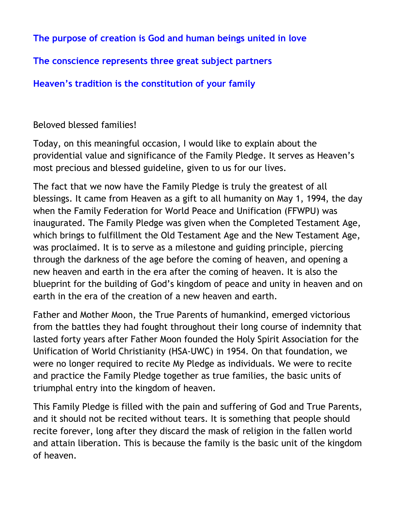**[The purpose of creation is God and human beings united in love](#page-13-0)**

# **[The conscience represents three great subject partners](#page-15-0)**

**Heaven's tradition is [the constitution of your family](#page-15-1)**

# Beloved blessed families!

Today, on this meaningful occasion, I would like to explain about the providential value and significance of the Family Pledge. It serves as Heaven's most precious and blessed guideline, given to us for our lives.

The fact that we now have the Family Pledge is truly the greatest of all blessings. It came from Heaven as a gift to all humanity on May 1, 1994, the day when the Family Federation for World Peace and Unification (FFWPU) was inaugurated. The Family Pledge was given when the Completed Testament Age, which brings to fulfillment the Old Testament Age and the New Testament Age, was proclaimed. It is to serve as a milestone and guiding principle, piercing through the darkness of the age before the coming of heaven, and opening a new heaven and earth in the era after the coming of heaven. It is also the blueprint for the building of God's kingdom of peace and unity in heaven and on earth in the era of the creation of a new heaven and earth.

Father and Mother Moon, the True Parents of humankind, emerged victorious from the battles they had fought throughout their long course of indemnity that lasted forty years after Father Moon founded the Holy Spirit Association for the Unification of World Christianity (HSA-UWC) in 1954. On that foundation, we were no longer required to recite My Pledge as individuals. We were to recite and practice the Family Pledge together as true families, the basic units of triumphal entry into the kingdom of heaven.

This Family Pledge is filled with the pain and suffering of God and True Parents, and it should not be recited without tears. It is something that people should recite forever, long after they discard the mask of religion in the fallen world and attain liberation. This is because the family is the basic unit of the kingdom of heaven.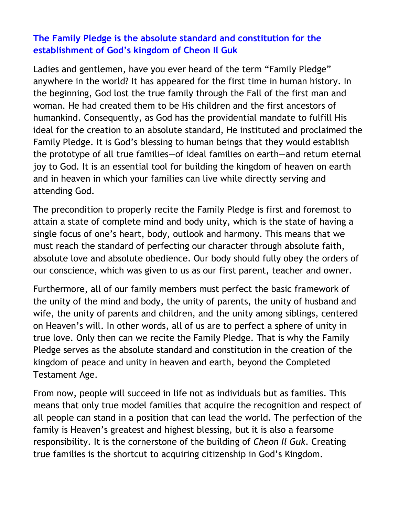#### <span id="page-2-0"></span>**[The Family Pledge is the absolute standard and constitution for the](#page-0-0)  [establishment of God's kingdom of Cheon Il Guk](#page-0-0)**

Ladies and gentlemen, have you ever heard of the term "Family Pledge" anywhere in the world? It has appeared for the first time in human history. In the beginning, God lost the true family through the Fall of the first man and woman. He had created them to be His children and the first ancestors of humankind. Consequently, as God has the providential mandate to fulfill His ideal for the creation to an absolute standard, He instituted and proclaimed the Family Pledge. It is God's blessing to human beings that they would establish the prototype of all true families—of ideal families on earth—and return eternal joy to God. It is an essential tool for building the kingdom of heaven on earth and in heaven in which your families can live while directly serving and attending God.

The precondition to properly recite the Family Pledge is first and foremost to attain a state of complete mind and body unity, which is the state of having a single focus of one's heart, body, outlook and harmony. This means that we must reach the standard of perfecting our character through absolute faith, absolute love and absolute obedience. Our body should fully obey the orders of our conscience, which was given to us as our first parent, teacher and owner.

Furthermore, all of our family members must perfect the basic framework of the unity of the mind and body, the unity of parents, the unity of husband and wife, the unity of parents and children, and the unity among siblings, centered on Heaven's will. In other words, all of us are to perfect a sphere of unity in true love. Only then can we recite the Family Pledge. That is why the Family Pledge serves as the absolute standard and constitution in the creation of the kingdom of peace and unity in heaven and earth, beyond the Completed Testament Age.

From now, people will succeed in life not as individuals but as families. This means that only true model families that acquire the recognition and respect of all people can stand in a position that can lead the world. The perfection of the family is Heaven's greatest and highest blessing, but it is also a fearsome responsibility. It is the cornerstone of the building of *Cheon Il Guk*. Creating true families is the shortcut to acquiring citizenship in God's Kingdom.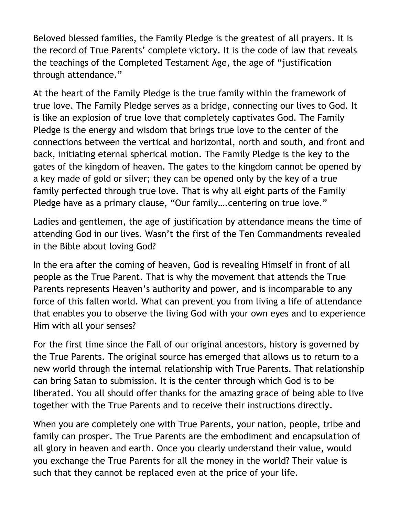Beloved blessed families, the Family Pledge is the greatest of all prayers. It is the record of True Parents' complete victory. It is the code of law that reveals the teachings of the Completed Testament Age, the age of "justification through attendance."

At the heart of the Family Pledge is the true family within the framework of true love. The Family Pledge serves as a bridge, connecting our lives to God. It is like an explosion of true love that completely captivates God. The Family Pledge is the energy and wisdom that brings true love to the center of the connections between the vertical and horizontal, north and south, and front and back, initiating eternal spherical motion. The Family Pledge is the key to the gates of the kingdom of heaven. The gates to the kingdom cannot be opened by a key made of gold or silver; they can be opened only by the key of a true family perfected through true love. That is why all eight parts of the Family Pledge have as a primary clause, "Our family….centering on true love."

Ladies and gentlemen, the age of justification by attendance means the time of attending God in our lives. Wasn't the first of the Ten Commandments revealed in the Bible about loving God?

In the era after the coming of heaven, God is revealing Himself in front of all people as the True Parent. That is why the movement that attends the True Parents represents Heaven's authority and power, and is incomparable to any force of this fallen world. What can prevent you from living a life of attendance that enables you to observe the living God with your own eyes and to experience Him with all your senses?

For the first time since the Fall of our original ancestors, history is governed by the True Parents. The original source has emerged that allows us to return to a new world through the internal relationship with True Parents. That relationship can bring Satan to submission. It is the center through which God is to be liberated. You all should offer thanks for the amazing grace of being able to live together with the True Parents and to receive their instructions directly.

When you are completely one with True Parents, your nation, people, tribe and family can prosper. The True Parents are the embodiment and encapsulation of all glory in heaven and earth. Once you clearly understand their value, would you exchange the True Parents for all the money in the world? Their value is such that they cannot be replaced even at the price of your life.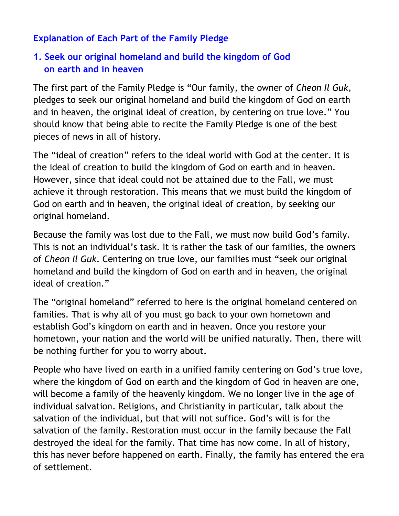# <span id="page-4-0"></span>**[Explanation of Each Part of the Family Pledge](#page-0-0)**

# **1. [Seek our original homeland and build the kingdom of God](#page-0-0)   [on earth and in heaven](#page-0-0)**

The first part of the Family Pledge is "Our family, the owner of *Cheon Il Guk*, pledges to seek our original homeland and build the kingdom of God on earth and in heaven, the original ideal of creation, by centering on true love." You should know that being able to recite the Family Pledge is one of the best pieces of news in all of history.

The "ideal of creation" refers to the ideal world with God at the center. It is the ideal of creation to build the kingdom of God on earth and in heaven. However, since that ideal could not be attained due to the Fall, we must achieve it through restoration. This means that we must build the kingdom of God on earth and in heaven, the original ideal of creation, by seeking our original homeland.

Because the family was lost due to the Fall, we must now build God's family. This is not an individual's task. It is rather the task of our families, the owners of *Cheon Il Guk*. Centering on true love, our families must "seek our original homeland and build the kingdom of God on earth and in heaven, the original ideal of creation."

The "original homeland" referred to here is the original homeland centered on families. That is why all of you must go back to your own hometown and establish God's kingdom on earth and in heaven. Once you restore your hometown, your nation and the world will be unified naturally. Then, there will be nothing further for you to worry about.

People who have lived on earth in a unified family centering on God's true love, where the kingdom of God on earth and the kingdom of God in heaven are one, will become a family of the heavenly kingdom. We no longer live in the age of individual salvation. Religions, and Christianity in particular, talk about the salvation of the individual, but that will not suffice. God's will is for the salvation of the family. Restoration must occur in the family because the Fall destroyed the ideal for the family. That time has now come. In all of history, this has never before happened on earth. Finally, the family has entered the era of settlement.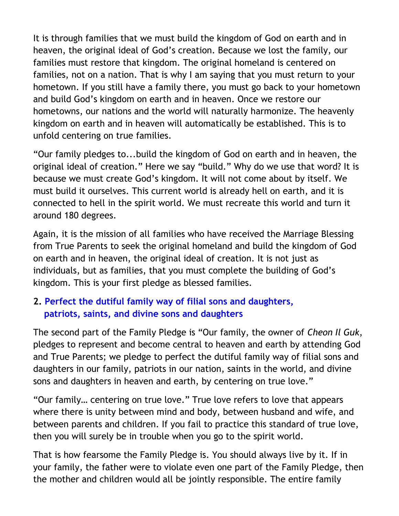It is through families that we must build the kingdom of God on earth and in heaven, the original ideal of God's creation. Because we lost the family, our families must restore that kingdom. The original homeland is centered on families, not on a nation. That is why I am saying that you must return to your hometown. If you still have a family there, you must go back to your hometown and build God's kingdom on earth and in heaven. Once we restore our hometowns, our nations and the world will naturally harmonize. The heavenly kingdom on earth and in heaven will automatically be established. This is to unfold centering on true families.

"Our family pledges to...build the kingdom of God on earth and in heaven, the original ideal of creation." Here we say "build." Why do we use that word? It is because we must create God's kingdom. It will not come about by itself. We must build it ourselves. This current world is already hell on earth, and it is connected to hell in the spirit world. We must recreate this world and turn it around 180 degrees.

Again, it is the mission of all families who have received the Marriage Blessing from True Parents to seek the original homeland and build the kingdom of God on earth and in heaven, the original ideal of creation. It is not just as individuals, but as families, that you must complete the building of God's kingdom. This is your first pledge as blessed families.

# <span id="page-5-0"></span>**2. [Perfect the dutiful family way of filial sons and daughters,](#page-0-0)   [patriots, saints, and divine sons and daughters](#page-0-0)**

The second part of the Family Pledge is "Our family, the owner of *Cheon Il Guk*, pledges to represent and become central to heaven and earth by attending God and True Parents; we pledge to perfect the dutiful family way of filial sons and daughters in our family, patriots in our nation, saints in the world, and divine sons and daughters in heaven and earth, by centering on true love."

"Our family… centering on true love." True love refers to love that appears where there is unity between mind and body, between husband and wife, and between parents and children. If you fail to practice this standard of true love, then you will surely be in trouble when you go to the spirit world.

That is how fearsome the Family Pledge is. You should always live by it. If in your family, the father were to violate even one part of the Family Pledge, then the mother and children would all be jointly responsible. The entire family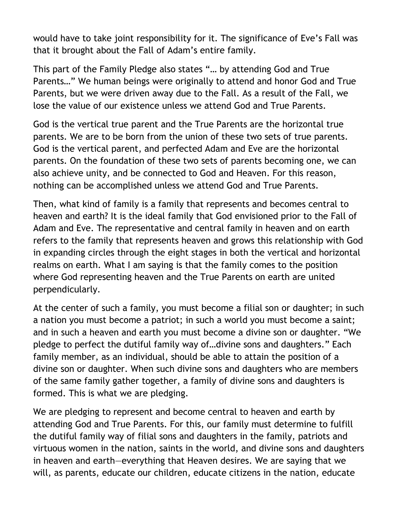would have to take joint responsibility for it. The significance of Eve's Fall was that it brought about the Fall of Adam's entire family.

This part of the Family Pledge also states "… by attending God and True Parents…" We human beings were originally to attend and honor God and True Parents, but we were driven away due to the Fall. As a result of the Fall, we lose the value of our existence unless we attend God and True Parents.

God is the vertical true parent and the True Parents are the horizontal true parents. We are to be born from the union of these two sets of true parents. God is the vertical parent, and perfected Adam and Eve are the horizontal parents. On the foundation of these two sets of parents becoming one, we can also achieve unity, and be connected to God and Heaven. For this reason, nothing can be accomplished unless we attend God and True Parents.

Then, what kind of family is a family that represents and becomes central to heaven and earth? It is the ideal family that God envisioned prior to the Fall of Adam and Eve. The representative and central family in heaven and on earth refers to the family that represents heaven and grows this relationship with God in expanding circles through the eight stages in both the vertical and horizontal realms on earth. What I am saying is that the family comes to the position where God representing heaven and the True Parents on earth are united perpendicularly.

At the center of such a family, you must become a filial son or daughter; in such a nation you must become a patriot; in such a world you must become a saint; and in such a heaven and earth you must become a divine son or daughter. "We pledge to perfect the dutiful family way of…divine sons and daughters." Each family member, as an individual, should be able to attain the position of a divine son or daughter. When such divine sons and daughters who are members of the same family gather together, a family of divine sons and daughters is formed. This is what we are pledging.

We are pledging to represent and become central to heaven and earth by attending God and True Parents. For this, our family must determine to fulfill the dutiful family way of filial sons and daughters in the family, patriots and virtuous women in the nation, saints in the world, and divine sons and daughters in heaven and earth—everything that Heaven desires. We are saying that we will, as parents, educate our children, educate citizens in the nation, educate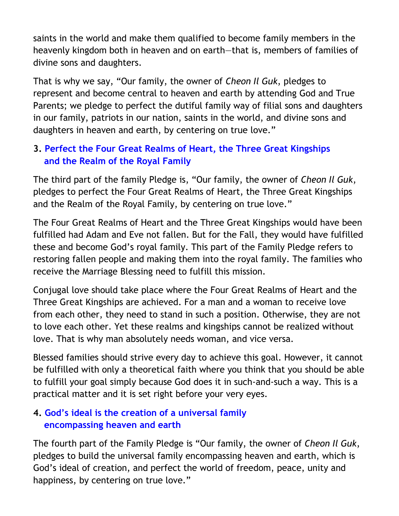saints in the world and make them qualified to become family members in the heavenly kingdom both in heaven and on earth—that is, members of families of divine sons and daughters.

That is why we say, "Our family, the owner of *Cheon Il Guk*, pledges to represent and become central to heaven and earth by attending God and True Parents; we pledge to perfect the dutiful family way of filial sons and daughters in our family, patriots in our nation, saints in the world, and divine sons and daughters in heaven and earth, by centering on true love."

# <span id="page-7-0"></span>**3. [Perfect the Four Great Realms of Heart, the Three Great Kingships](#page-0-0) [and the Realm of](#page-0-0) the Royal Family**

The third part of the family Pledge is, "Our family, the owner of *Cheon Il Guk*, pledges to perfect the Four Great Realms of Heart, the Three Great Kingships and the Realm of the Royal Family, by centering on true love."

The Four Great Realms of Heart and the Three Great Kingships would have been fulfilled had Adam and Eve not fallen. But for the Fall, they would have fulfilled these and become God's royal family. This part of the Family Pledge refers to restoring fallen people and making them into the royal family. The families who receive the Marriage Blessing need to fulfill this mission.

Conjugal love should take place where the Four Great Realms of Heart and the Three Great Kingships are achieved. For a man and a woman to receive love from each other, they need to stand in such a position. Otherwise, they are not to love each other. Yet these realms and kingships cannot be realized without love. That is why man absolutely needs woman, and vice versa.

Blessed families should strive every day to achieve this goal. However, it cannot be fulfilled with only a theoretical faith where you think that you should be able to fulfill your goal simply because God does it in such-and-such a way. This is a practical matter and it is set right before your very eyes.

#### <span id="page-7-1"></span>**4. [God's ideal is the creation of a universal family](#page-0-0)   [encompassing heaven and earth](#page-0-0)**

The fourth part of the Family Pledge is "Our family, the owner of *Cheon Il Guk*, pledges to build the universal family encompassing heaven and earth, which is God's ideal of creation, and perfect the world of freedom, peace, unity and happiness, by centering on true love."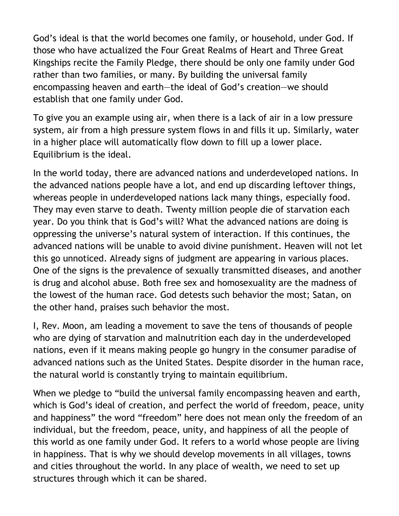God's ideal is that the world becomes one family, or household, under God. If those who have actualized the Four Great Realms of Heart and Three Great Kingships recite the Family Pledge, there should be only one family under God rather than two families, or many. By building the universal family encompassing heaven and earth—the ideal of God's creation—we should establish that one family under God.

To give you an example using air, when there is a lack of air in a low pressure system, air from a high pressure system flows in and fills it up. Similarly, water in a higher place will automatically flow down to fill up a lower place. Equilibrium is the ideal.

In the world today, there are advanced nations and underdeveloped nations. In the advanced nations people have a lot, and end up discarding leftover things, whereas people in underdeveloped nations lack many things, especially food. They may even starve to death. Twenty million people die of starvation each year. Do you think that is God's will? What the advanced nations are doing is oppressing the universe's natural system of interaction. If this continues, the advanced nations will be unable to avoid divine punishment. Heaven will not let this go unnoticed. Already signs of judgment are appearing in various places. One of the signs is the prevalence of sexually transmitted diseases, and another is drug and alcohol abuse. Both free sex and homosexuality are the madness of the lowest of the human race. God detests such behavior the most; Satan, on the other hand, praises such behavior the most.

I, Rev. Moon, am leading a movement to save the tens of thousands of people who are dying of starvation and malnutrition each day in the underdeveloped nations, even if it means making people go hungry in the consumer paradise of advanced nations such as the United States. Despite disorder in the human race, the natural world is constantly trying to maintain equilibrium.

When we pledge to "build the universal family encompassing heaven and earth, which is God's ideal of creation, and perfect the world of freedom, peace, unity and happiness" the word "freedom" here does not mean only the freedom of an individual, but the freedom, peace, unity, and happiness of all the people of this world as one family under God. It refers to a world whose people are living in happiness. That is why we should develop movements in all villages, towns and cities throughout the world. In any place of wealth, we need to set up structures through which it can be shared.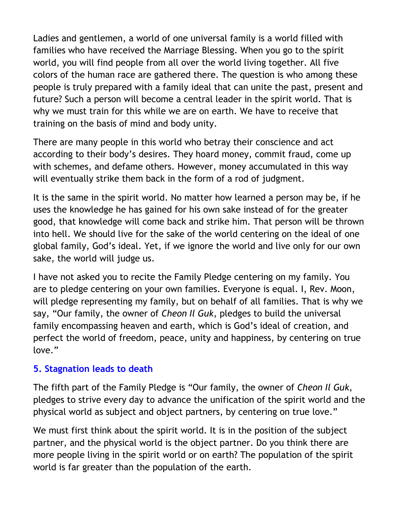Ladies and gentlemen, a world of one universal family is a world filled with families who have received the Marriage Blessing. When you go to the spirit world, you will find people from all over the world living together. All five colors of the human race are gathered there. The question is who among these people is truly prepared with a family ideal that can unite the past, present and future? Such a person will become a central leader in the spirit world. That is why we must train for this while we are on earth. We have to receive that training on the basis of mind and body unity.

There are many people in this world who betray their conscience and act according to their body's desires. They hoard money, commit fraud, come up with schemes, and defame others. However, money accumulated in this way will eventually strike them back in the form of a rod of judgment.

It is the same in the spirit world. No matter how learned a person may be, if he uses the knowledge he has gained for his own sake instead of for the greater good, that knowledge will come back and strike him. That person will be thrown into hell. We should live for the sake of the world centering on the ideal of one global family, God's ideal. Yet, if we ignore the world and live only for our own sake, the world will judge us.

I have not asked you to recite the Family Pledge centering on my family. You are to pledge centering on your own families. Everyone is equal. I, Rev. Moon, will pledge representing my family, but on behalf of all families. That is why we say, "Our family, the owner of *Cheon Il Guk*, pledges to build the universal family encompassing heaven and earth, which is God's ideal of creation, and perfect the world of freedom, peace, unity and happiness, by centering on true love."

#### <span id="page-9-0"></span>**[5. Stagnation leads to death](#page-0-0)**

The fifth part of the Family Pledge is "Our family, the owner of *Cheon Il Guk*, pledges to strive every day to advance the unification of the spirit world and the physical world as subject and object partners, by centering on true love."

We must first think about the spirit world. It is in the position of the subject partner, and the physical world is the object partner. Do you think there are more people living in the spirit world or on earth? The population of the spirit world is far greater than the population of the earth.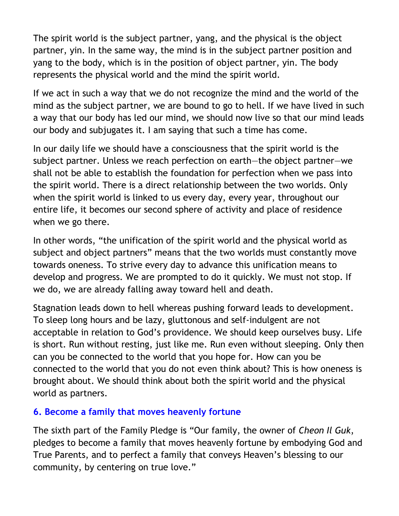The spirit world is the subject partner, yang, and the physical is the object partner, yin. In the same way, the mind is in the subject partner position and yang to the body, which is in the position of object partner, yin. The body represents the physical world and the mind the spirit world.

If we act in such a way that we do not recognize the mind and the world of the mind as the subject partner, we are bound to go to hell. If we have lived in such a way that our body has led our mind, we should now live so that our mind leads our body and subjugates it. I am saying that such a time has come.

In our daily life we should have a consciousness that the spirit world is the subject partner. Unless we reach perfection on earth—the object partner—we shall not be able to establish the foundation for perfection when we pass into the spirit world. There is a direct relationship between the two worlds. Only when the spirit world is linked to us every day, every year, throughout our entire life, it becomes our second sphere of activity and place of residence when we go there.

In other words, "the unification of the spirit world and the physical world as subject and object partners" means that the two worlds must constantly move towards oneness. To strive every day to advance this unification means to develop and progress. We are prompted to do it quickly. We must not stop. If we do, we are already falling away toward hell and death.

Stagnation leads down to hell whereas pushing forward leads to development. To sleep long hours and be lazy, gluttonous and self-indulgent are not acceptable in relation to God's providence. We should keep ourselves busy. Life is short. Run without resting, just like me. Run even without sleeping. Only then can you be connected to the world that you hope for. How can you be connected to the world that you do not even think about? This is how oneness is brought about. We should think about both the spirit world and the physical world as partners.

#### <span id="page-10-0"></span>**[6. Become a family that moves heavenly fortune](#page-0-0)**

The sixth part of the Family Pledge is "Our family, the owner of *Cheon Il Guk*, pledges to become a family that moves heavenly fortune by embodying God and True Parents, and to perfect a family that conveys Heaven's blessing to our community, by centering on true love."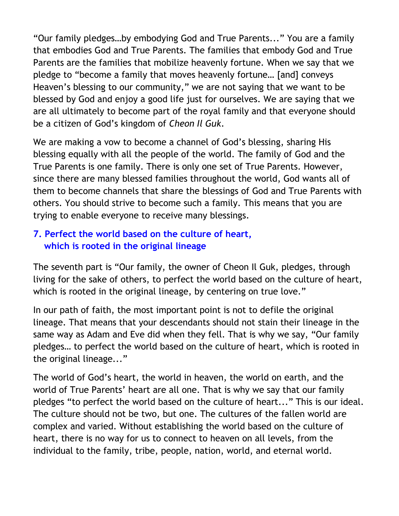"Our family pledges…by embodying God and True Parents..." You are a family that embodies God and True Parents. The families that embody God and True Parents are the families that mobilize heavenly fortune. When we say that we pledge to "become a family that moves heavenly fortune… [and] conveys Heaven's blessing to our community," we are not saying that we want to be blessed by God and enjoy a good life just for ourselves. We are saying that we are all ultimately to become part of the royal family and that everyone should be a citizen of God's kingdom of *Cheon Il Guk*.

We are making a vow to become a channel of God's blessing, sharing His blessing equally with all the people of the world. The family of God and the True Parents is one family. There is only one set of True Parents. However, since there are many blessed families throughout the world, God wants all of them to become channels that share the blessings of God and True Parents with others. You should strive to become such a family. This means that you are trying to enable everyone to receive many blessings.

# <span id="page-11-0"></span>**[7. Perfect the world based on the culture of heart,](#page-0-0)  [which is rooted in the original lineage](#page-0-0)**

The seventh part is "Our family, the owner of Cheon Il Guk, pledges, through living for the sake of others, to perfect the world based on the culture of heart, which is rooted in the original lineage, by centering on true love."

In our path of faith, the most important point is not to defile the original lineage. That means that your descendants should not stain their lineage in the same way as Adam and Eve did when they fell. That is why we say, "Our family pledges… to perfect the world based on the culture of heart, which is rooted in the original lineage..."

The world of God's heart, the world in heaven, the world on earth, and the world of True Parents' heart are all one. That is why we say that our family pledges "to perfect the world based on the culture of heart..." This is our ideal. The culture should not be two, but one. The cultures of the fallen world are complex and varied. Without establishing the world based on the culture of heart, there is no way for us to connect to heaven on all levels, from the individual to the family, tribe, people, nation, world, and eternal world.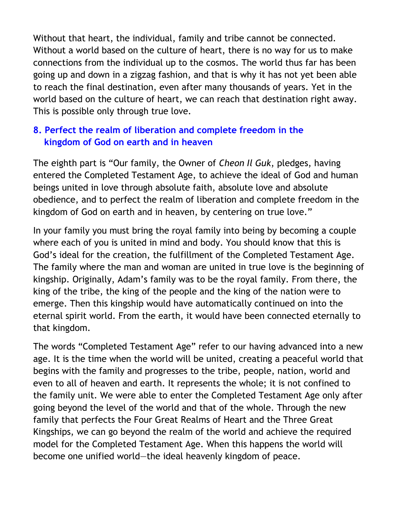Without that heart, the individual, family and tribe cannot be connected. Without a world based on the culture of heart, there is no way for us to make connections from the individual up to the cosmos. The world thus far has been going up and down in a zigzag fashion, and that is why it has not yet been able to reach the final destination, even after many thousands of years. Yet in the world based on the culture of heart, we can reach that destination right away. This is possible only through true love.

#### <span id="page-12-0"></span>**[8. Perfect the realm of liberation and complete freedom](#page-0-0) in the  [kingdom of God on earth and in heaven](#page-0-0)**

The eighth part is "Our family, the Owner of *Cheon Il Guk*, pledges, having entered the Completed Testament Age, to achieve the ideal of God and human beings united in love through absolute faith, absolute love and absolute obedience, and to perfect the realm of liberation and complete freedom in the kingdom of God on earth and in heaven, by centering on true love."

In your family you must bring the royal family into being by becoming a couple where each of you is united in mind and body. You should know that this is God's ideal for the creation, the fulfillment of the Completed Testament Age. The family where the man and woman are united in true love is the beginning of kingship. Originally, Adam's family was to be the royal family. From there, the king of the tribe, the king of the people and the king of the nation were to emerge. Then this kingship would have automatically continued on into the eternal spirit world. From the earth, it would have been connected eternally to that kingdom.

The words "Completed Testament Age" refer to our having advanced into a new age. It is the time when the world will be united, creating a peaceful world that begins with the family and progresses to the tribe, people, nation, world and even to all of heaven and earth. It represents the whole; it is not confined to the family unit. We were able to enter the Completed Testament Age only after going beyond the level of the world and that of the whole. Through the new family that perfects the Four Great Realms of Heart and the Three Great Kingships, we can go beyond the realm of the world and achieve the required model for the Completed Testament Age. When this happens the world will become one unified world—the ideal heavenly kingdom of peace.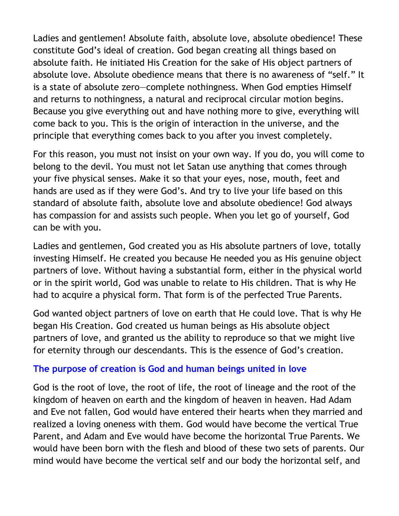Ladies and gentlemen! Absolute faith, absolute love, absolute obedience! These constitute God's ideal of creation. God began creating all things based on absolute faith. He initiated His Creation for the sake of His object partners of absolute love. Absolute obedience means that there is no awareness of "self." It is a state of absolute zero—complete nothingness. When God empties Himself and returns to nothingness, a natural and reciprocal circular motion begins. Because you give everything out and have nothing more to give, everything will come back to you. This is the origin of interaction in the universe, and the principle that everything comes back to you after you invest completely.

For this reason, you must not insist on your own way. If you do, you will come to belong to the devil. You must not let Satan use anything that comes through your five physical senses. Make it so that your eyes, nose, mouth, feet and hands are used as if they were God's. And try to live your life based on this standard of absolute faith, absolute love and absolute obedience! God always has compassion for and assists such people. When you let go of yourself, God can be with you.

Ladies and gentlemen, God created you as His absolute partners of love, totally investing Himself. He created you because He needed you as His genuine object partners of love. Without having a substantial form, either in the physical world or in the spirit world, God was unable to relate to His children. That is why He had to acquire a physical form. That form is of the perfected True Parents.

God wanted object partners of love on earth that He could love. That is why He began His Creation. God created us human beings as His absolute object partners of love, and granted us the ability to reproduce so that we might live for eternity through our descendants. This is the essence of God's creation.

#### <span id="page-13-0"></span>**[The purpose of creation is God and human beings united in love](#page-0-0)**

God is the root of love, the root of life, the root of lineage and the root of the kingdom of heaven on earth and the kingdom of heaven in heaven. Had Adam and Eve not fallen, God would have entered their hearts when they married and realized a loving oneness with them. God would have become the vertical True Parent, and Adam and Eve would have become the horizontal True Parents. We would have been born with the flesh and blood of these two sets of parents. Our mind would have become the vertical self and our body the horizontal self, and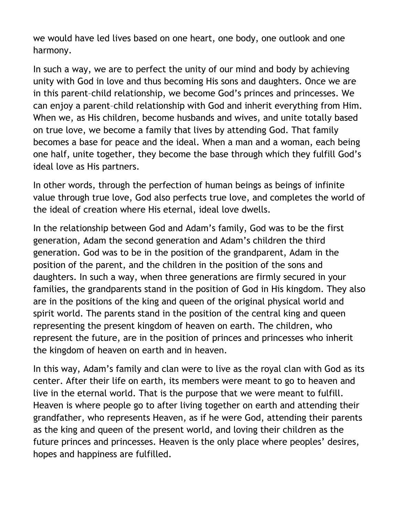we would have led lives based on one heart, one body, one outlook and one harmony.

In such a way, we are to perfect the unity of our mind and body by achieving unity with God in love and thus becoming His sons and daughters. Once we are in this parent–child relationship, we become God's princes and princesses. We can enjoy a parent–child relationship with God and inherit everything from Him. When we, as His children, become husbands and wives, and unite totally based on true love, we become a family that lives by attending God. That family becomes a base for peace and the ideal. When a man and a woman, each being one half, unite together, they become the base through which they fulfill God's ideal love as His partners.

In other words, through the perfection of human beings as beings of infinite value through true love, God also perfects true love, and completes the world of the ideal of creation where His eternal, ideal love dwells.

In the relationship between God and Adam's family, God was to be the first generation, Adam the second generation and Adam's children the third generation. God was to be in the position of the grandparent, Adam in the position of the parent, and the children in the position of the sons and daughters. In such a way, when three generations are firmly secured in your families, the grandparents stand in the position of God in His kingdom. They also are in the positions of the king and queen of the original physical world and spirit world. The parents stand in the position of the central king and queen representing the present kingdom of heaven on earth. The children, who represent the future, are in the position of princes and princesses who inherit the kingdom of heaven on earth and in heaven.

In this way, Adam's family and clan were to live as the royal clan with God as its center. After their life on earth, its members were meant to go to heaven and live in the eternal world. That is the purpose that we were meant to fulfill. Heaven is where people go to after living together on earth and attending their grandfather, who represents Heaven, as if he were God, attending their parents as the king and queen of the present world, and loving their children as the future princes and princesses. Heaven is the only place where peoples' desires, hopes and happiness are fulfilled.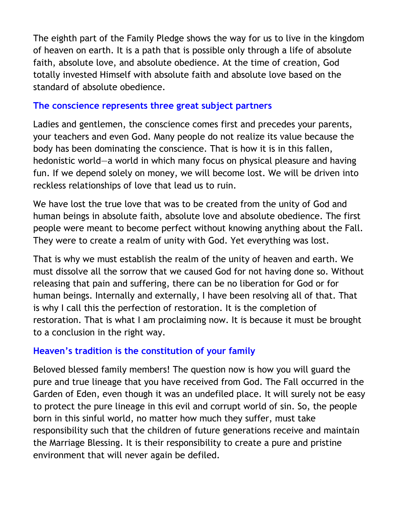The eighth part of the Family Pledge shows the way for us to live in the kingdom of heaven on earth. It is a path that is possible only through a life of absolute faith, absolute love, and absolute obedience. At the time of creation, God totally invested Himself with absolute faith and absolute love based on the standard of absolute obedience.

#### <span id="page-15-0"></span>**[The conscience represents three great subject partners](#page-0-0)**

Ladies and gentlemen, the conscience comes first and precedes your parents, your teachers and even God. Many people do not realize its value because the body has been dominating the conscience. That is how it is in this fallen, hedonistic world—a world in which many focus on physical pleasure and having fun. If we depend solely on money, we will become lost. We will be driven into reckless relationships of love that lead us to ruin.

We have lost the true love that was to be created from the unity of God and human beings in absolute faith, absolute love and absolute obedience. The first people were meant to become perfect without knowing anything about the Fall. They were to create a realm of unity with God. Yet everything was lost.

That is why we must establish the realm of the unity of heaven and earth. We must dissolve all the sorrow that we caused God for not having done so. Without releasing that pain and suffering, there can be no liberation for God or for human beings. Internally and externally, I have been resolving all of that. That is why I call this the perfection of restoration. It is the completion of restoration. That is what I am proclaiming now. It is because it must be brought to a conclusion in the right way.

#### <span id="page-15-1"></span>**[Heaven's tradition is the constitution of your family](#page-0-0)**

Beloved blessed family members! The question now is how you will guard the pure and true lineage that you have received from God. The Fall occurred in the Garden of Eden, even though it was an undefiled place. It will surely not be easy to protect the pure lineage in this evil and corrupt world of sin. So, the people born in this sinful world, no matter how much they suffer, must take responsibility such that the children of future generations receive and maintain the Marriage Blessing. It is their responsibility to create a pure and pristine environment that will never again be defiled.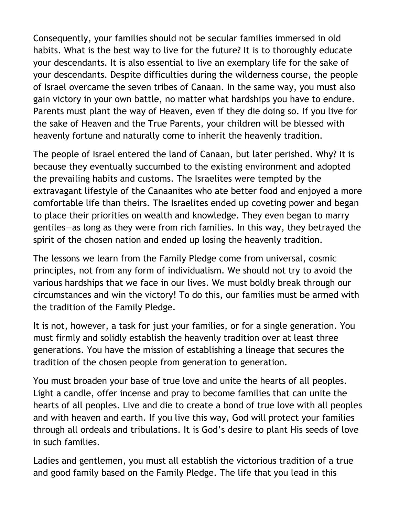Consequently, your families should not be secular families immersed in old habits. What is the best way to live for the future? It is to thoroughly educate your descendants. It is also essential to live an exemplary life for the sake of your descendants. Despite difficulties during the wilderness course, the people of Israel overcame the seven tribes of Canaan. In the same way, you must also gain victory in your own battle, no matter what hardships you have to endure. Parents must plant the way of Heaven, even if they die doing so. If you live for the sake of Heaven and the True Parents, your children will be blessed with heavenly fortune and naturally come to inherit the heavenly tradition.

The people of Israel entered the land of Canaan, but later perished. Why? It is because they eventually succumbed to the existing environment and adopted the prevailing habits and customs. The Israelites were tempted by the extravagant lifestyle of the Canaanites who ate better food and enjoyed a more comfortable life than theirs. The Israelites ended up coveting power and began to place their priorities on wealth and knowledge. They even began to marry gentiles—as long as they were from rich families. In this way, they betrayed the spirit of the chosen nation and ended up losing the heavenly tradition.

The lessons we learn from the Family Pledge come from universal, cosmic principles, not from any form of individualism. We should not try to avoid the various hardships that we face in our lives. We must boldly break through our circumstances and win the victory! To do this, our families must be armed with the tradition of the Family Pledge.

It is not, however, a task for just your families, or for a single generation. You must firmly and solidly establish the heavenly tradition over at least three generations. You have the mission of establishing a lineage that secures the tradition of the chosen people from generation to generation.

You must broaden your base of true love and unite the hearts of all peoples. Light a candle, offer incense and pray to become families that can unite the hearts of all peoples. Live and die to create a bond of true love with all peoples and with heaven and earth. If you live this way, God will protect your families through all ordeals and tribulations. It is God's desire to plant His seeds of love in such families.

Ladies and gentlemen, you must all establish the victorious tradition of a true and good family based on the Family Pledge. The life that you lead in this